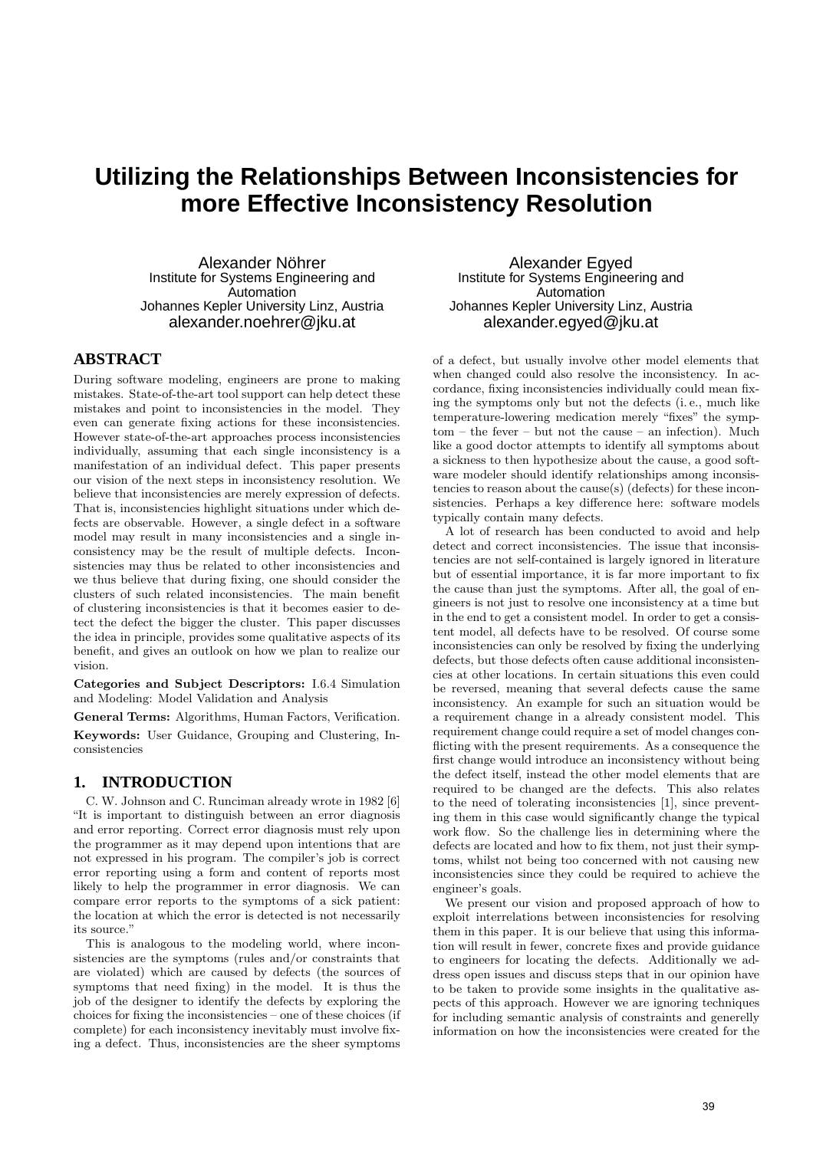# **Utilizing the Relationships Between Inconsistencies for more Effective Inconsistency Resolution**

Alexander Nöhrer Institute for Systems Engineering and **Automation** Johannes Kepler University Linz, Austria alexander.noehrer@jku.at

# **ABSTRACT**

During software modeling, engineers are prone to making mistakes. State-of-the-art tool support can help detect these mistakes and point to inconsistencies in the model. They even can generate fixing actions for these inconsistencies. However state-of-the-art approaches process inconsistencies individually, assuming that each single inconsistency is a manifestation of an individual defect. This paper presents our vision of the next steps in inconsistency resolution. We believe that inconsistencies are merely expression of defects. That is, inconsistencies highlight situations under which defects are observable. However, a single defect in a software model may result in many inconsistencies and a single inconsistency may be the result of multiple defects. Inconsistencies may thus be related to other inconsistencies and we thus believe that during fixing, one should consider the clusters of such related inconsistencies. The main benefit of clustering inconsistencies is that it becomes easier to detect the defect the bigger the cluster. This paper discusses the idea in principle, provides some qualitative aspects of its benefit, and gives an outlook on how we plan to realize our vision.

Categories and Subject Descriptors: I.6.4 Simulation and Modeling: Model Validation and Analysis

General Terms: Algorithms, Human Factors, Verification.

Keywords: User Guidance, Grouping and Clustering, Inconsistencies

# **1. INTRODUCTION**

C. W. Johnson and C. Runciman already wrote in 1982 [6] "It is important to distinguish between an error diagnosis and error reporting. Correct error diagnosis must rely upon the programmer as it may depend upon intentions that are not expressed in his program. The compiler's job is correct error reporting using a form and content of reports most likely to help the programmer in error diagnosis. We can compare error reports to the symptoms of a sick patient: the location at which the error is detected is not necessarily its source."

This is analogous to the modeling world, where inconsistencies are the symptoms (rules and/or constraints that are violated) which are caused by defects (the sources of symptoms that need fixing) in the model. It is thus the job of the designer to identify the defects by exploring the choices for fixing the inconsistencies – one of these choices (if complete) for each inconsistency inevitably must involve fixing a defect. Thus, inconsistencies are the sheer symptoms

Alexander Egyed Institute for Systems Engineering and **Automation** Johannes Kepler University Linz, Austria alexander.egyed@jku.at

of a defect, but usually involve other model elements that when changed could also resolve the inconsistency. In accordance, fixing inconsistencies individually could mean fixing the symptoms only but not the defects (i. e., much like temperature-lowering medication merely "fixes" the symptom – the fever – but not the cause – an infection). Much like a good doctor attempts to identify all symptoms about a sickness to then hypothesize about the cause, a good software modeler should identify relationships among inconsistencies to reason about the cause(s) (defects) for these inconsistencies. Perhaps a key difference here: software models typically contain many defects.

A lot of research has been conducted to avoid and help detect and correct inconsistencies. The issue that inconsistencies are not self-contained is largely ignored in literature but of essential importance, it is far more important to fix the cause than just the symptoms. After all, the goal of engineers is not just to resolve one inconsistency at a time but in the end to get a consistent model. In order to get a consistent model, all defects have to be resolved. Of course some inconsistencies can only be resolved by fixing the underlying defects, but those defects often cause additional inconsistencies at other locations. In certain situations this even could be reversed, meaning that several defects cause the same inconsistency. An example for such an situation would be a requirement change in a already consistent model. This requirement change could require a set of model changes conflicting with the present requirements. As a consequence the first change would introduce an inconsistency without being the defect itself, instead the other model elements that are required to be changed are the defects. This also relates to the need of tolerating inconsistencies [1], since preventing them in this case would significantly change the typical work flow. So the challenge lies in determining where the defects are located and how to fix them, not just their symptoms, whilst not being too concerned with not causing new inconsistencies since they could be required to achieve the engineer's goals.

We present our vision and proposed approach of how to exploit interrelations between inconsistencies for resolving them in this paper. It is our believe that using this information will result in fewer, concrete fixes and provide guidance to engineers for locating the defects. Additionally we address open issues and discuss steps that in our opinion have to be taken to provide some insights in the qualitative aspects of this approach. However we are ignoring techniques for including semantic analysis of constraints and generelly information on how the inconsistencies were created for the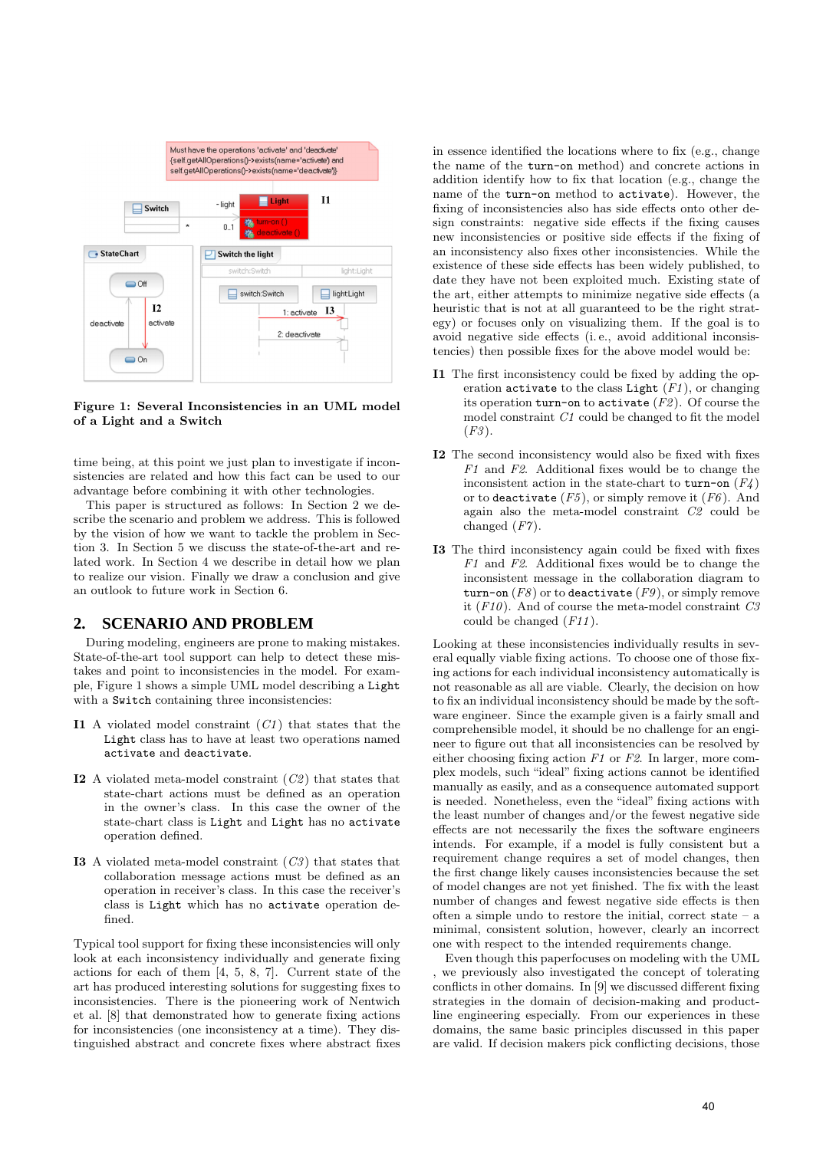

#### Figure 1: Several Inconsistencies in an UML model of a Light and a Switch

time being, at this point we just plan to investigate if inconsistencies are related and how this fact can be used to our advantage before combining it with other technologies.

This paper is structured as follows: In Section 2 we describe the scenario and problem we address. This is followed by the vision of how we want to tackle the problem in Section 3. In Section 5 we discuss the state-of-the-art and related work. In Section 4 we describe in detail how we plan to realize our vision. Finally we draw a conclusion and give an outlook to future work in Section 6.

# **2. SCENARIO AND PROBLEM**

During modeling, engineers are prone to making mistakes. State-of-the-art tool support can help to detect these mistakes and point to inconsistencies in the model. For example, Figure 1 shows a simple UML model describing a Light with a Switch containing three inconsistencies:

- I1 A violated model constraint  $(C1)$  that states that the Light class has to have at least two operations named activate and deactivate.
- **I2** A violated meta-model constraint  $(C2)$  that states that state-chart actions must be defined as an operation in the owner's class. In this case the owner of the state-chart class is Light and Light has no activate operation defined.
- **I3** A violated meta-model constraint  $(C3)$  that states that collaboration message actions must be defined as an operation in receiver's class. In this case the receiver's class is Light which has no activate operation defined.

Typical tool support for fixing these inconsistencies will only look at each inconsistency individually and generate fixing actions for each of them [4, 5, 8, 7]. Current state of the art has produced interesting solutions for suggesting fixes to inconsistencies. There is the pioneering work of Nentwich et al. [8] that demonstrated how to generate fixing actions for inconsistencies (one inconsistency at a time). They distinguished abstract and concrete fixes where abstract fixes

in essence identified the locations where to fix (e.g., change the name of the turn-on method) and concrete actions in addition identify how to fix that location (e.g., change the name of the turn-on method to activate). However, the fixing of inconsistencies also has side effects onto other design constraints: negative side effects if the fixing causes new inconsistencies or positive side effects if the fixing of an inconsistency also fixes other inconsistencies. While the existence of these side effects has been widely published, to date they have not been exploited much. Existing state of the art, either attempts to minimize negative side effects (a heuristic that is not at all guaranteed to be the right strategy) or focuses only on visualizing them. If the goal is to avoid negative side effects (i. e., avoid additional inconsistencies) then possible fixes for the above model would be:

- I1 The first inconsistency could be fixed by adding the operation activate to the class Light  $(F1)$ , or changing its operation turn-on to activate  $(F2)$ . Of course the model constraint C1 could be changed to fit the model  $(F3)$ .
- I2 The second inconsistency would also be fixed with fixes  $F1$  and  $F2$ . Additional fixes would be to change the inconsistent action in the state-chart to turn-on  $(F_4)$ or to deactivate  $(F5)$ , or simply remove it  $(F6)$ . And again also the meta-model constraint C2 could be changed  $(F7)$ .
- I3 The third inconsistency again could be fixed with fixes  $F1$  and  $F2$ . Additional fixes would be to change the inconsistent message in the collaboration diagram to turn-on  $(F8)$  or to deactivate  $(F9)$ , or simply remove it  $(F10)$ . And of course the meta-model constraint  $C3$ could be changed  $(F11)$ .

Looking at these inconsistencies individually results in several equally viable fixing actions. To choose one of those fixing actions for each individual inconsistency automatically is not reasonable as all are viable. Clearly, the decision on how to fix an individual inconsistency should be made by the software engineer. Since the example given is a fairly small and comprehensible model, it should be no challenge for an engineer to figure out that all inconsistencies can be resolved by either choosing fixing action  $F1$  or  $F2$ . In larger, more complex models, such "ideal" fixing actions cannot be identified manually as easily, and as a consequence automated support is needed. Nonetheless, even the "ideal" fixing actions with the least number of changes and/or the fewest negative side effects are not necessarily the fixes the software engineers intends. For example, if a model is fully consistent but a requirement change requires a set of model changes, then the first change likely causes inconsistencies because the set of model changes are not yet finished. The fix with the least number of changes and fewest negative side effects is then often a simple undo to restore the initial, correct state – a minimal, consistent solution, however, clearly an incorrect one with respect to the intended requirements change.

Even though this paperfocuses on modeling with the UML , we previously also investigated the concept of tolerating conflicts in other domains. In [9] we discussed different fixing strategies in the domain of decision-making and productline engineering especially. From our experiences in these domains, the same basic principles discussed in this paper are valid. If decision makers pick conflicting decisions, those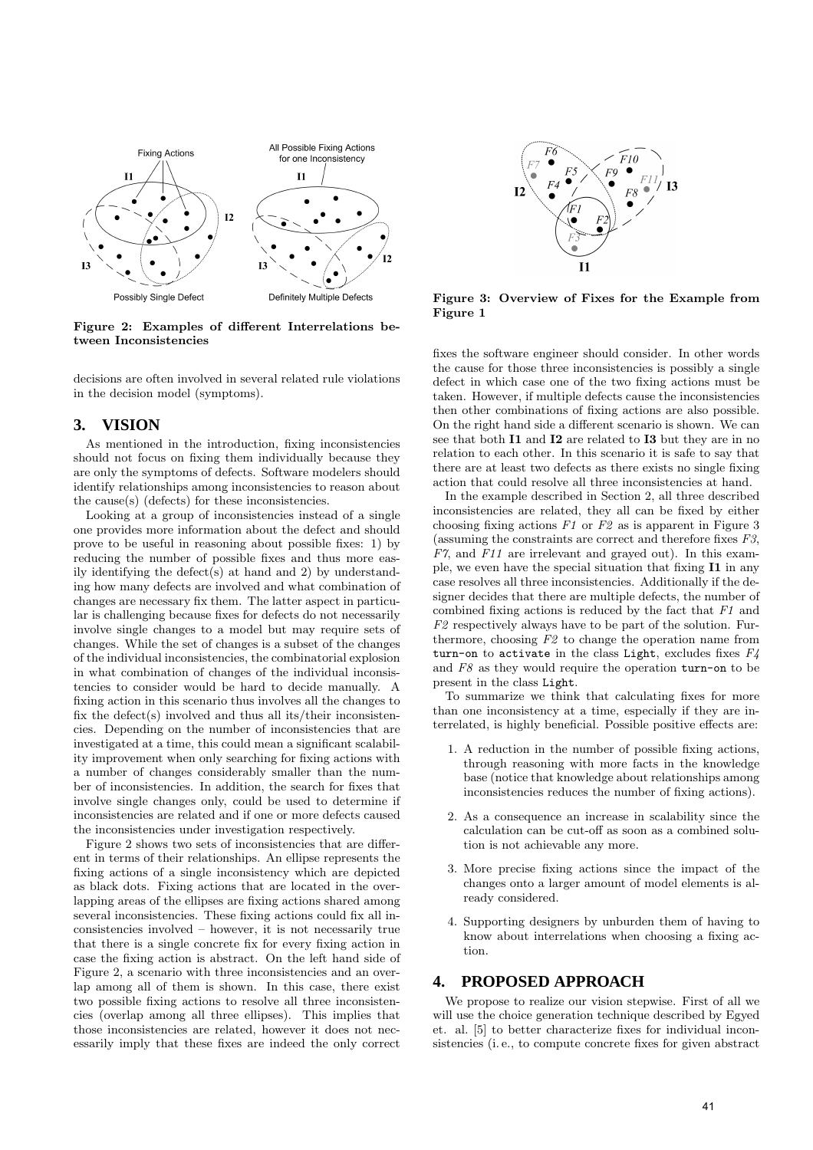

Figure 2: Examples of different Interrelations between Inconsistencies

decisions are often involved in several related rule violations in the decision model (symptoms).

#### **3. VISION**

As mentioned in the introduction, fixing inconsistencies should not focus on fixing them individually because they are only the symptoms of defects. Software modelers should identify relationships among inconsistencies to reason about the cause(s) (defects) for these inconsistencies.

Looking at a group of inconsistencies instead of a single one provides more information about the defect and should prove to be useful in reasoning about possible fixes: 1) by reducing the number of possible fixes and thus more easily identifying the defect(s) at hand and 2) by understanding how many defects are involved and what combination of changes are necessary fix them. The latter aspect in particular is challenging because fixes for defects do not necessarily involve single changes to a model but may require sets of changes. While the set of changes is a subset of the changes of the individual inconsistencies, the combinatorial explosion in what combination of changes of the individual inconsistencies to consider would be hard to decide manually. A fixing action in this scenario thus involves all the changes to fix the defect(s) involved and thus all its/their inconsistencies. Depending on the number of inconsistencies that are investigated at a time, this could mean a significant scalability improvement when only searching for fixing actions with a number of changes considerably smaller than the number of inconsistencies. In addition, the search for fixes that involve single changes only, could be used to determine if inconsistencies are related and if one or more defects caused the inconsistencies under investigation respectively.

Figure 2 shows two sets of inconsistencies that are different in terms of their relationships. An ellipse represents the fixing actions of a single inconsistency which are depicted as black dots. Fixing actions that are located in the overlapping areas of the ellipses are fixing actions shared among several inconsistencies. These fixing actions could fix all inconsistencies involved – however, it is not necessarily true that there is a single concrete fix for every fixing action in case the fixing action is abstract. On the left hand side of Figure 2, a scenario with three inconsistencies and an overlap among all of them is shown. In this case, there exist two possible fixing actions to resolve all three inconsistencies (overlap among all three ellipses). This implies that those inconsistencies are related, however it does not necessarily imply that these fixes are indeed the only correct



Figure 3: Overview of Fixes for the Example from Figure 1

fixes the software engineer should consider. In other words the cause for those three inconsistencies is possibly a single defect in which case one of the two fixing actions must be taken. However, if multiple defects cause the inconsistencies then other combinations of fixing actions are also possible. On the right hand side a different scenario is shown. We can see that both **I1** and **I2** are related to **I3** but they are in no relation to each other. In this scenario it is safe to say that there are at least two defects as there exists no single fixing action that could resolve all three inconsistencies at hand.

In the example described in Section 2, all three described inconsistencies are related, they all can be fixed by either choosing fixing actions  $F1$  or  $F2$  as is apparent in Figure 3 (assuming the constraints are correct and therefore fixes F3, F7, and F11 are irrelevant and grayed out). In this example, we even have the special situation that fixing I1 in any case resolves all three inconsistencies. Additionally if the designer decides that there are multiple defects, the number of combined fixing actions is reduced by the fact that  $F1$  and  $F2$  respectively always have to be part of the solution. Furthermore, choosing  $F2$  to change the operation name from turn-on to activate in the class Light, excludes fixes  $F<sub>4</sub>$ and  $F8$  as they would require the operation turn-on to be present in the class Light.

To summarize we think that calculating fixes for more than one inconsistency at a time, especially if they are interrelated, is highly beneficial. Possible positive effects are:

- 1. A reduction in the number of possible fixing actions, through reasoning with more facts in the knowledge base (notice that knowledge about relationships among inconsistencies reduces the number of fixing actions).
- 2. As a consequence an increase in scalability since the calculation can be cut-off as soon as a combined solution is not achievable any more.
- 3. More precise fixing actions since the impact of the changes onto a larger amount of model elements is already considered.
- 4. Supporting designers by unburden them of having to know about interrelations when choosing a fixing action.

#### **4. PROPOSED APPROACH**

We propose to realize our vision stepwise. First of all we will use the choice generation technique described by Egyed et. al. [5] to better characterize fixes for individual inconsistencies (i. e., to compute concrete fixes for given abstract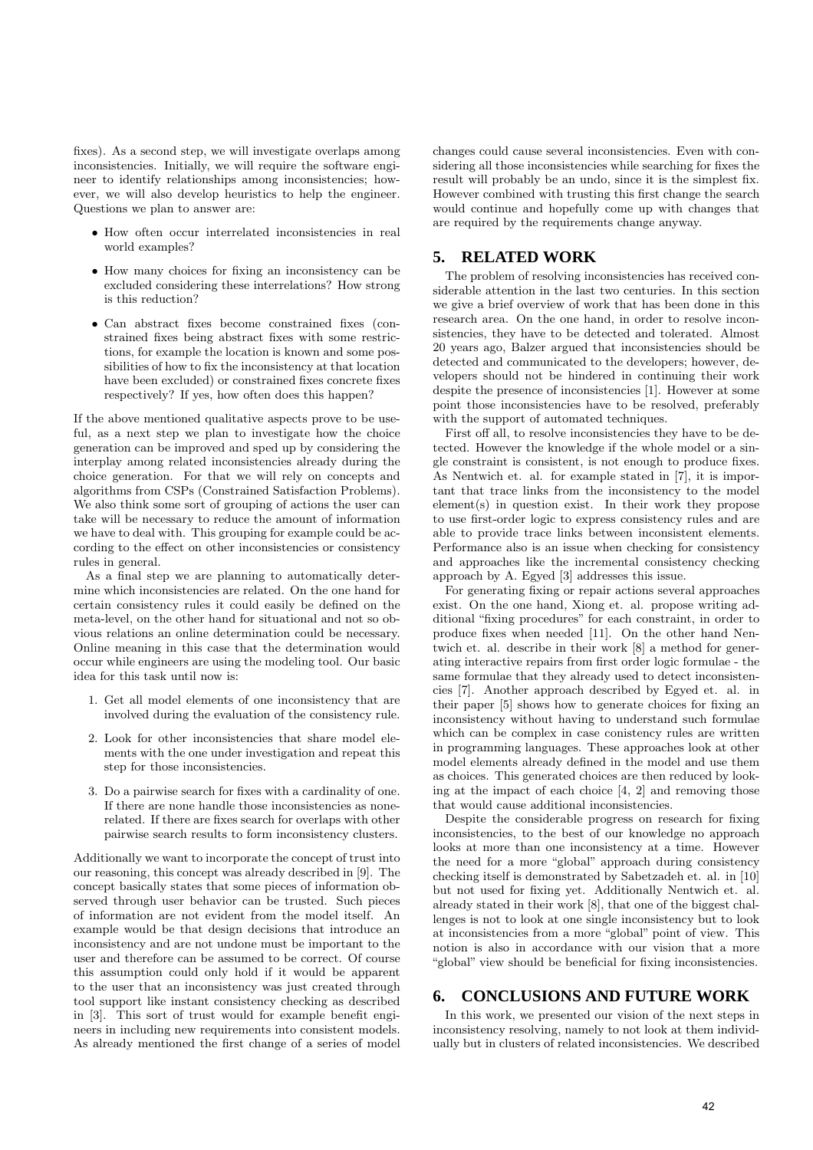fixes). As a second step, we will investigate overlaps among inconsistencies. Initially, we will require the software engineer to identify relationships among inconsistencies; however, we will also develop heuristics to help the engineer. Questions we plan to answer are:

- How often occur interrelated inconsistencies in real world examples?
- How many choices for fixing an inconsistency can be excluded considering these interrelations? How strong is this reduction?
- Can abstract fixes become constrained fixes (constrained fixes being abstract fixes with some restrictions, for example the location is known and some possibilities of how to fix the inconsistency at that location have been excluded) or constrained fixes concrete fixes respectively? If yes, how often does this happen?

If the above mentioned qualitative aspects prove to be useful, as a next step we plan to investigate how the choice generation can be improved and sped up by considering the interplay among related inconsistencies already during the choice generation. For that we will rely on concepts and algorithms from CSPs (Constrained Satisfaction Problems). We also think some sort of grouping of actions the user can take will be necessary to reduce the amount of information we have to deal with. This grouping for example could be according to the effect on other inconsistencies or consistency rules in general.

As a final step we are planning to automatically determine which inconsistencies are related. On the one hand for certain consistency rules it could easily be defined on the meta-level, on the other hand for situational and not so obvious relations an online determination could be necessary. Online meaning in this case that the determination would occur while engineers are using the modeling tool. Our basic idea for this task until now is:

- 1. Get all model elements of one inconsistency that are involved during the evaluation of the consistency rule.
- 2. Look for other inconsistencies that share model elements with the one under investigation and repeat this step for those inconsistencies.
- 3. Do a pairwise search for fixes with a cardinality of one. If there are none handle those inconsistencies as nonerelated. If there are fixes search for overlaps with other pairwise search results to form inconsistency clusters.

Additionally we want to incorporate the concept of trust into our reasoning, this concept was already described in [9]. The concept basically states that some pieces of information observed through user behavior can be trusted. Such pieces of information are not evident from the model itself. An example would be that design decisions that introduce an inconsistency and are not undone must be important to the user and therefore can be assumed to be correct. Of course this assumption could only hold if it would be apparent to the user that an inconsistency was just created through tool support like instant consistency checking as described in [3]. This sort of trust would for example benefit engineers in including new requirements into consistent models. As already mentioned the first change of a series of model

changes could cause several inconsistencies. Even with considering all those inconsistencies while searching for fixes the result will probably be an undo, since it is the simplest fix. However combined with trusting this first change the search would continue and hopefully come up with changes that are required by the requirements change anyway.

## **5. RELATED WORK**

The problem of resolving inconsistencies has received considerable attention in the last two centuries. In this section we give a brief overview of work that has been done in this research area. On the one hand, in order to resolve inconsistencies, they have to be detected and tolerated. Almost 20 years ago, Balzer argued that inconsistencies should be detected and communicated to the developers; however, developers should not be hindered in continuing their work despite the presence of inconsistencies [1]. However at some point those inconsistencies have to be resolved, preferably with the support of automated techniques.

First off all, to resolve inconsistencies they have to be detected. However the knowledge if the whole model or a single constraint is consistent, is not enough to produce fixes. As Nentwich et. al. for example stated in [7], it is important that trace links from the inconsistency to the model element(s) in question exist. In their work they propose to use first-order logic to express consistency rules and are able to provide trace links between inconsistent elements. Performance also is an issue when checking for consistency and approaches like the incremental consistency checking approach by A. Egyed [3] addresses this issue.

For generating fixing or repair actions several approaches exist. On the one hand, Xiong et. al. propose writing additional "fixing procedures" for each constraint, in order to produce fixes when needed [11]. On the other hand Nentwich et. al. describe in their work [8] a method for generating interactive repairs from first order logic formulae - the same formulae that they already used to detect inconsistencies [7]. Another approach described by Egyed et. al. in their paper [5] shows how to generate choices for fixing an inconsistency without having to understand such formulae which can be complex in case conistency rules are written in programming languages. These approaches look at other model elements already defined in the model and use them as choices. This generated choices are then reduced by looking at the impact of each choice [4, 2] and removing those that would cause additional inconsistencies.

Despite the considerable progress on research for fixing inconsistencies, to the best of our knowledge no approach looks at more than one inconsistency at a time. However the need for a more "global" approach during consistency checking itself is demonstrated by Sabetzadeh et. al. in [10] but not used for fixing yet. Additionally Nentwich et. al. already stated in their work [8], that one of the biggest challenges is not to look at one single inconsistency but to look at inconsistencies from a more "global" point of view. This notion is also in accordance with our vision that a more "global" view should be beneficial for fixing inconsistencies.

## **6. CONCLUSIONS AND FUTURE WORK**

In this work, we presented our vision of the next steps in inconsistency resolving, namely to not look at them individually but in clusters of related inconsistencies. We described